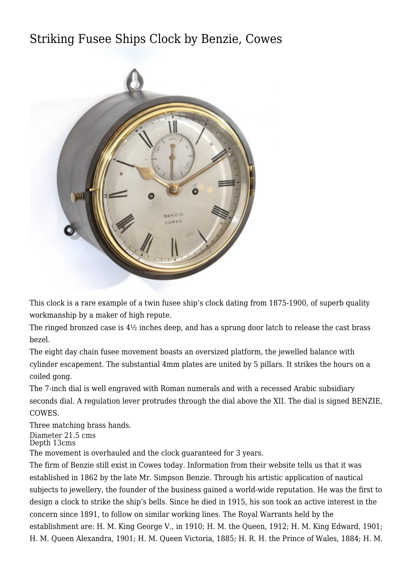## [Striking Fusee Ships Clock by Benzie, Cowes](http://www.ukclocks.com/products/1572-2/)



This clock is a rare example of a twin fusee ship's clock dating from 1875-1900, of superb quality workmanship by a maker of high repute.

The ringed bronzed case is  $4\frac{1}{2}$  inches deep, and has a sprung door latch to release the cast brass bezel.

The eight day chain fusee movement boasts an oversized platform, the jewelled balance with cylinder escapement. The substantial 4mm plates are united by 5 pillars. It strikes the hours on a coiled gong.

The 7-inch dial is well engraved with Roman numerals and with a recessed Arabic subsidiary seconds dial. A regulation lever protrudes through the dial above the XII. The dial is signed BENZIE, COWES.

Three matching brass hands.

Diameter 21.5 cms Depth 13cms

The movement is overhauled and the clock guaranteed for 3 years.

The firm of Benzie still exist in Cowes today. Information from their website tells us that it was established in 1862 by the late Mr. Simpson Benzie. Through his artistic application of nautical subjects to jewellery, the founder of the business gained a world-wide reputation. He was the first to design a clock to strike the ship's bells. Since he died in 1915, his son took an active interest in the concern since 1891, to follow on similar working lines. The Royal Warrants held by the establishment are: H. M. King George V., in 1910; H. M. the Queen, 1912; H. M. King Edward, 1901; H. M. Queen Alexandra, 1901; H. M. Queen Victoria, 1885; H. R. H. the Prince of Wales, 1884; H. M.